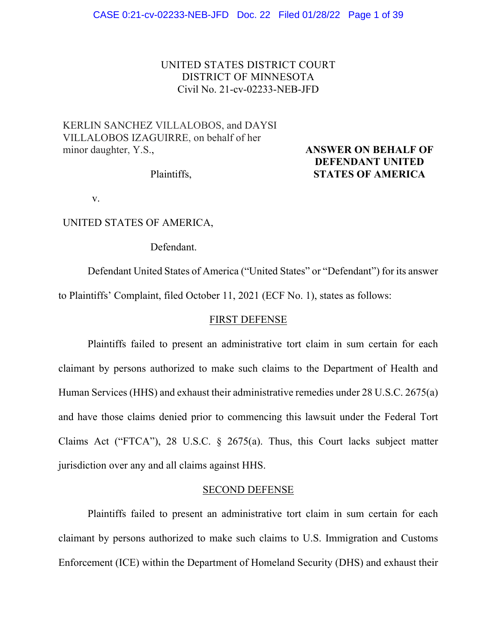# UNITED STATES DISTRICT COURT DISTRICT OF MINNESOTA Civil No. 21-cv-02233-NEB-JFD

# KERLIN SANCHEZ VILLALOBOS, and DAYSI VILLALOBOS IZAGUIRRE, on behalf of her minor daughter, Y.S., **ANSWER ON BEHALF OF**

# **DEFENDANT UNITED**  Plaintiffs, **STATES OF AMERICA**

v.

# UNITED STATES OF AMERICA,

Defendant.

Defendant United States of America ("United States" or "Defendant") for its answer to Plaintiffs' Complaint, filed October 11, 2021 (ECF No. 1), states as follows:

### FIRST DEFENSE

Plaintiffs failed to present an administrative tort claim in sum certain for each claimant by persons authorized to make such claims to the Department of Health and Human Services (HHS) and exhaust their administrative remedies under 28 U.S.C. 2675(a) and have those claims denied prior to commencing this lawsuit under the Federal Tort Claims Act ("FTCA"), 28 U.S.C. § 2675(a). Thus, this Court lacks subject matter jurisdiction over any and all claims against HHS.

### SECOND DEFENSE

Plaintiffs failed to present an administrative tort claim in sum certain for each claimant by persons authorized to make such claims to U.S. Immigration and Customs Enforcement (ICE) within the Department of Homeland Security (DHS) and exhaust their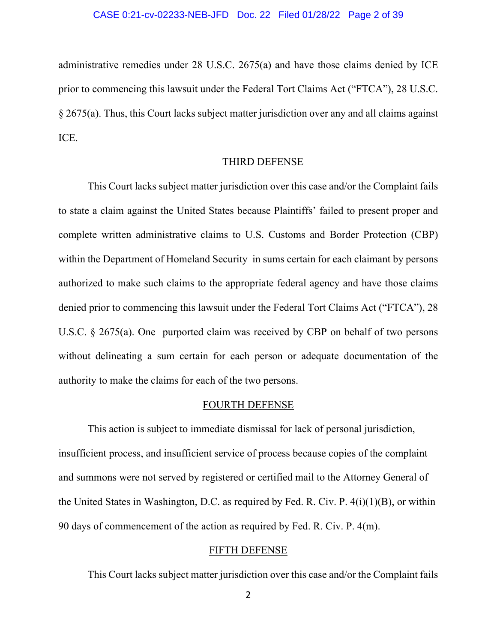administrative remedies under 28 U.S.C. 2675(a) and have those claims denied by ICE prior to commencing this lawsuit under the Federal Tort Claims Act ("FTCA"), 28 U.S.C. § 2675(a). Thus, this Court lacks subject matter jurisdiction over any and all claims against ICE.

# THIRD DEFENSE

This Court lacks subject matter jurisdiction over this case and/or the Complaint fails to state a claim against the United States because Plaintiffs' failed to present proper and complete written administrative claims to U.S. Customs and Border Protection (CBP) within the Department of Homeland Security in sums certain for each claimant by persons authorized to make such claims to the appropriate federal agency and have those claims denied prior to commencing this lawsuit under the Federal Tort Claims Act ("FTCA"), 28 U.S.C. § 2675(a). One purported claim was received by CBP on behalf of two persons without delineating a sum certain for each person or adequate documentation of the authority to make the claims for each of the two persons.

#### FOURTH DEFENSE

This action is subject to immediate dismissal for lack of personal jurisdiction, insufficient process, and insufficient service of process because copies of the complaint and summons were not served by registered or certified mail to the Attorney General of the United States in Washington, D.C. as required by Fed. R. Civ. P. 4(i)(1)(B), or within 90 days of commencement of the action as required by Fed. R. Civ. P. 4(m).

### FIFTH DEFENSE

This Court lacks subject matter jurisdiction over this case and/or the Complaint fails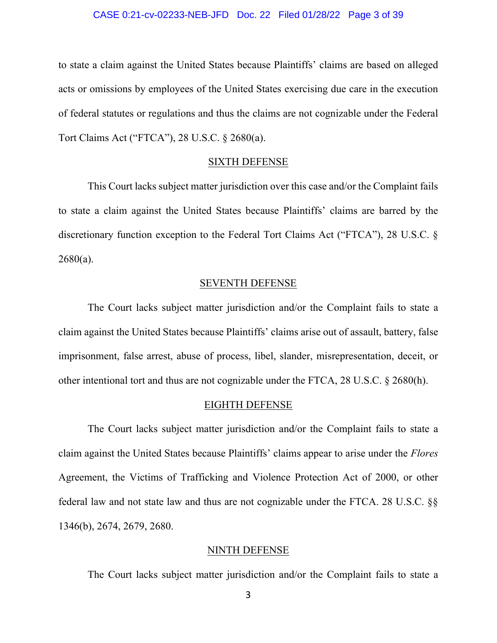#### CASE 0:21-cv-02233-NEB-JFD Doc. 22 Filed 01/28/22 Page 3 of 39

to state a claim against the United States because Plaintiffs' claims are based on alleged acts or omissions by employees of the United States exercising due care in the execution of federal statutes or regulations and thus the claims are not cognizable under the Federal Tort Claims Act ("FTCA"), 28 U.S.C. § 2680(a).

#### SIXTH DEFENSE

This Court lacks subject matter jurisdiction over this case and/or the Complaint fails to state a claim against the United States because Plaintiffs' claims are barred by the discretionary function exception to the Federal Tort Claims Act ("FTCA"), 28 U.S.C. §  $2680(a)$ .

### SEVENTH DEFENSE

The Court lacks subject matter jurisdiction and/or the Complaint fails to state a claim against the United States because Plaintiffs' claims arise out of assault, battery, false imprisonment, false arrest, abuse of process, libel, slander, misrepresentation, deceit, or other intentional tort and thus are not cognizable under the FTCA, 28 U.S.C. § 2680(h).

#### EIGHTH DEFENSE

The Court lacks subject matter jurisdiction and/or the Complaint fails to state a claim against the United States because Plaintiffs' claims appear to arise under the *Flores* Agreement, the Victims of Trafficking and Violence Protection Act of 2000, or other federal law and not state law and thus are not cognizable under the FTCA. 28 U.S.C. §§ 1346(b), 2674, 2679, 2680.

#### NINTH DEFENSE

The Court lacks subject matter jurisdiction and/or the Complaint fails to state a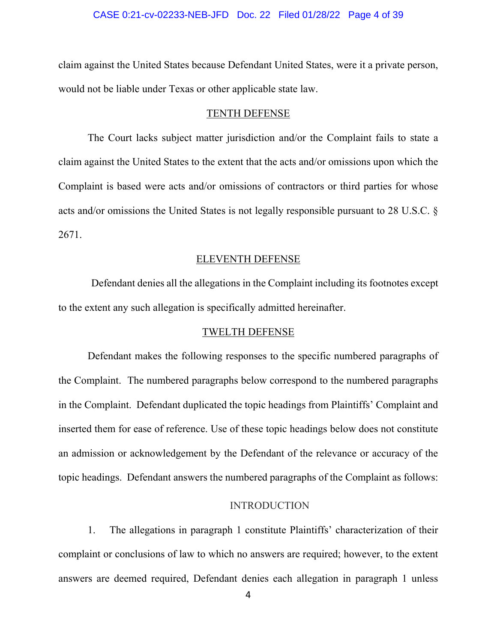#### CASE 0:21-cv-02233-NEB-JFD Doc. 22 Filed 01/28/22 Page 4 of 39

claim against the United States because Defendant United States, were it a private person, would not be liable under Texas or other applicable state law.

#### TENTH DEFENSE

The Court lacks subject matter jurisdiction and/or the Complaint fails to state a claim against the United States to the extent that the acts and/or omissions upon which the Complaint is based were acts and/or omissions of contractors or third parties for whose acts and/or omissions the United States is not legally responsible pursuant to 28 U.S.C. § 2671.

# ELEVENTH DEFENSE

Defendant denies all the allegations in the Complaint including its footnotes except to the extent any such allegation is specifically admitted hereinafter.

#### TWELTH DEFENSE

Defendant makes the following responses to the specific numbered paragraphs of the Complaint. The numbered paragraphs below correspond to the numbered paragraphs in the Complaint. Defendant duplicated the topic headings from Plaintiffs' Complaint and inserted them for ease of reference. Use of these topic headings below does not constitute an admission or acknowledgement by the Defendant of the relevance or accuracy of the topic headings. Defendant answers the numbered paragraphs of the Complaint as follows:

## INTRODUCTION

1. The allegations in paragraph 1 constitute Plaintiffs' characterization of their complaint or conclusions of law to which no answers are required; however, to the extent answers are deemed required, Defendant denies each allegation in paragraph 1 unless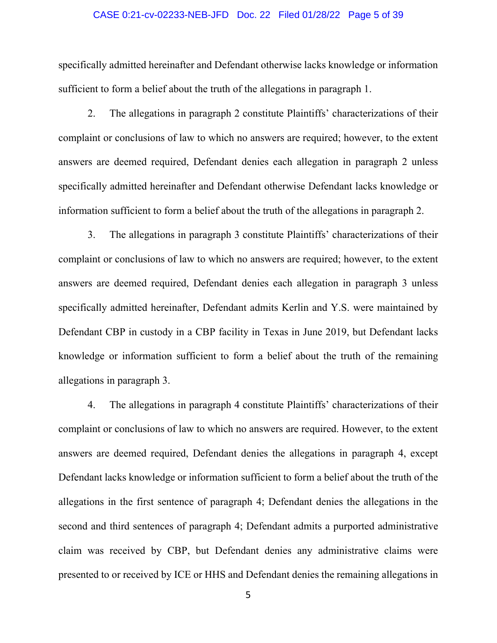#### CASE 0:21-cv-02233-NEB-JFD Doc. 22 Filed 01/28/22 Page 5 of 39

specifically admitted hereinafter and Defendant otherwise lacks knowledge or information sufficient to form a belief about the truth of the allegations in paragraph 1.

2. The allegations in paragraph 2 constitute Plaintiffs' characterizations of their complaint or conclusions of law to which no answers are required; however, to the extent answers are deemed required, Defendant denies each allegation in paragraph 2 unless specifically admitted hereinafter and Defendant otherwise Defendant lacks knowledge or information sufficient to form a belief about the truth of the allegations in paragraph 2.

3. The allegations in paragraph 3 constitute Plaintiffs' characterizations of their complaint or conclusions of law to which no answers are required; however, to the extent answers are deemed required, Defendant denies each allegation in paragraph 3 unless specifically admitted hereinafter, Defendant admits Kerlin and Y.S. were maintained by Defendant CBP in custody in a CBP facility in Texas in June 2019, but Defendant lacks knowledge or information sufficient to form a belief about the truth of the remaining allegations in paragraph 3.

4. The allegations in paragraph 4 constitute Plaintiffs' characterizations of their complaint or conclusions of law to which no answers are required. However, to the extent answers are deemed required, Defendant denies the allegations in paragraph 4, except Defendant lacks knowledge or information sufficient to form a belief about the truth of the allegations in the first sentence of paragraph 4; Defendant denies the allegations in the second and third sentences of paragraph 4; Defendant admits a purported administrative claim was received by CBP, but Defendant denies any administrative claims were presented to or received by ICE or HHS and Defendant denies the remaining allegations in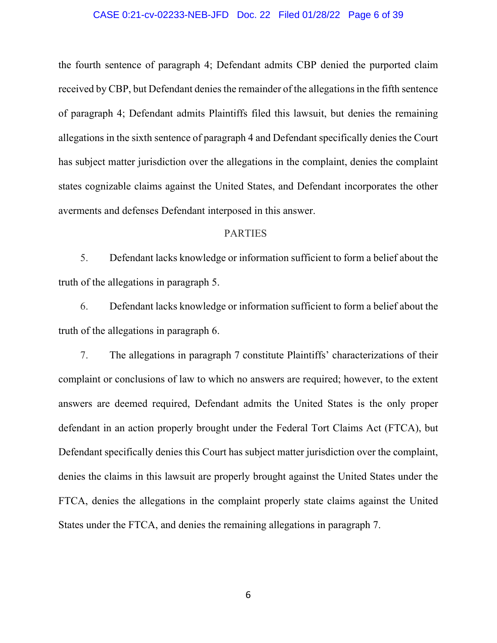#### CASE 0:21-cv-02233-NEB-JFD Doc. 22 Filed 01/28/22 Page 6 of 39

the fourth sentence of paragraph 4; Defendant admits CBP denied the purported claim received by CBP, but Defendant denies the remainder of the allegations in the fifth sentence of paragraph 4; Defendant admits Plaintiffs filed this lawsuit, but denies the remaining allegations in the sixth sentence of paragraph 4 and Defendant specifically denies the Court has subject matter jurisdiction over the allegations in the complaint, denies the complaint states cognizable claims against the United States, and Defendant incorporates the other averments and defenses Defendant interposed in this answer.

# PARTIES

5. Defendant lacks knowledge or information sufficient to form a belief about the truth of the allegations in paragraph 5.

6. Defendant lacks knowledge or information sufficient to form a belief about the truth of the allegations in paragraph 6.

7. The allegations in paragraph 7 constitute Plaintiffs' characterizations of their complaint or conclusions of law to which no answers are required; however, to the extent answers are deemed required, Defendant admits the United States is the only proper defendant in an action properly brought under the Federal Tort Claims Act (FTCA), but Defendant specifically denies this Court has subject matter jurisdiction over the complaint, denies the claims in this lawsuit are properly brought against the United States under the FTCA, denies the allegations in the complaint properly state claims against the United States under the FTCA, and denies the remaining allegations in paragraph 7.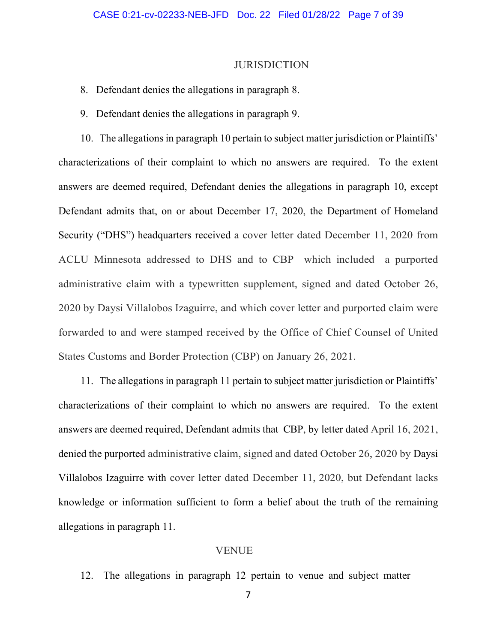#### **JURISDICTION**

## 8. Defendant denies the allegations in paragraph 8.

9. Defendant denies the allegations in paragraph 9.

10. The allegations in paragraph 10 pertain to subject matter jurisdiction or Plaintiffs' characterizations of their complaint to which no answers are required. To the extent answers are deemed required, Defendant denies the allegations in paragraph 10, except Defendant admits that, on or about December 17, 2020, the Department of Homeland Security ("DHS") headquarters received a cover letter dated December 11, 2020 from ACLU Minnesota addressed to DHS and to CBP which included a purported administrative claim with a typewritten supplement, signed and dated October 26, 2020 by Daysi Villalobos Izaguirre, and which cover letter and purported claim were forwarded to and were stamped received by the Office of Chief Counsel of United States Customs and Border Protection (CBP) on January 26, 2021.

11. The allegations in paragraph 11 pertain to subject matter jurisdiction or Plaintiffs' characterizations of their complaint to which no answers are required. To the extent answers are deemed required, Defendant admits that CBP, by letter dated April 16, 2021, denied the purported administrative claim, signed and dated October 26, 2020 by Daysi Villalobos Izaguirre with cover letter dated December 11, 2020, but Defendant lacks knowledge or information sufficient to form a belief about the truth of the remaining allegations in paragraph 11.

## VENUE

12. The allegations in paragraph 12 pertain to venue and subject matter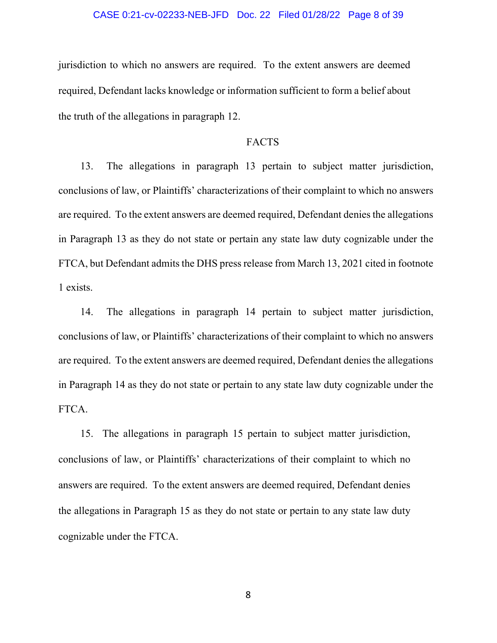#### CASE 0:21-cv-02233-NEB-JFD Doc. 22 Filed 01/28/22 Page 8 of 39

jurisdiction to which no answers are required. To the extent answers are deemed required, Defendant lacks knowledge or information sufficient to form a belief about the truth of the allegations in paragraph 12.

### FACTS

13. The allegations in paragraph 13 pertain to subject matter jurisdiction, conclusions of law, or Plaintiffs' characterizations of their complaint to which no answers are required. To the extent answers are deemed required, Defendant denies the allegations in Paragraph 13 as they do not state or pertain any state law duty cognizable under the FTCA, but Defendant admits the DHS press release from March 13, 2021 cited in footnote 1 exists.

14. The allegations in paragraph 14 pertain to subject matter jurisdiction, conclusions of law, or Plaintiffs' characterizations of their complaint to which no answers are required. To the extent answers are deemed required, Defendant denies the allegations in Paragraph 14 as they do not state or pertain to any state law duty cognizable under the FTCA.

15. The allegations in paragraph 15 pertain to subject matter jurisdiction, conclusions of law, or Plaintiffs' characterizations of their complaint to which no answers are required. To the extent answers are deemed required, Defendant denies the allegations in Paragraph 15 as they do not state or pertain to any state law duty cognizable under the FTCA.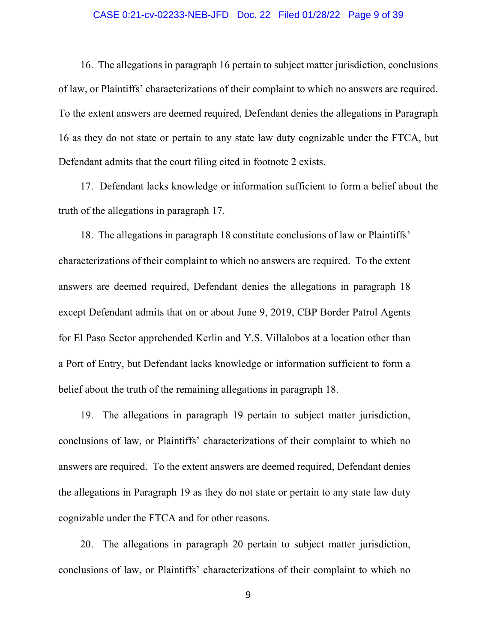#### CASE 0:21-cv-02233-NEB-JFD Doc. 22 Filed 01/28/22 Page 9 of 39

16. The allegations in paragraph 16 pertain to subject matter jurisdiction, conclusions of law, or Plaintiffs' characterizations of their complaint to which no answers are required. To the extent answers are deemed required, Defendant denies the allegations in Paragraph 16 as they do not state or pertain to any state law duty cognizable under the FTCA, but Defendant admits that the court filing cited in footnote 2 exists.

17. Defendant lacks knowledge or information sufficient to form a belief about the truth of the allegations in paragraph 17.

18. The allegations in paragraph 18 constitute conclusions of law or Plaintiffs' characterizations of their complaint to which no answers are required. To the extent answers are deemed required, Defendant denies the allegations in paragraph 18 except Defendant admits that on or about June 9, 2019, CBP Border Patrol Agents for El Paso Sector apprehended Kerlin and Y.S. Villalobos at a location other than a Port of Entry, but Defendant lacks knowledge or information sufficient to form a belief about the truth of the remaining allegations in paragraph 18.

19. The allegations in paragraph 19 pertain to subject matter jurisdiction, conclusions of law, or Plaintiffs' characterizations of their complaint to which no answers are required. To the extent answers are deemed required, Defendant denies the allegations in Paragraph 19 as they do not state or pertain to any state law duty cognizable under the FTCA and for other reasons.

20. The allegations in paragraph 20 pertain to subject matter jurisdiction, conclusions of law, or Plaintiffs' characterizations of their complaint to which no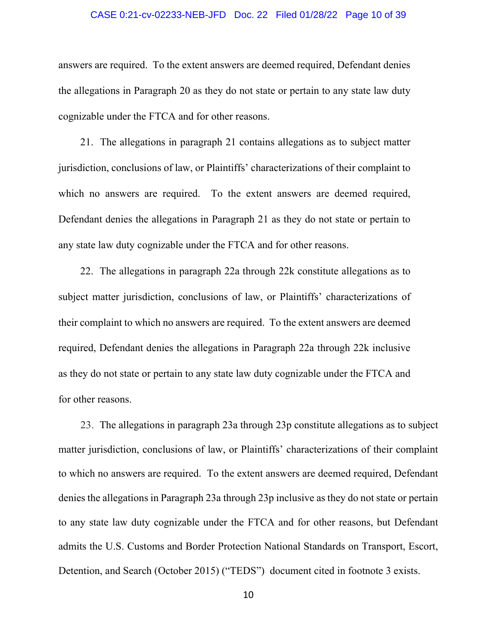#### CASE 0:21-cv-02233-NEB-JFD Doc. 22 Filed 01/28/22 Page 10 of 39

answers are required. To the extent answers are deemed required, Defendant denies the allegations in Paragraph 20 as they do not state or pertain to any state law duty cognizable under the FTCA and for other reasons.

21. The allegations in paragraph 21 contains allegations as to subject matter jurisdiction, conclusions of law, or Plaintiffs' characterizations of their complaint to which no answers are required. To the extent answers are deemed required, Defendant denies the allegations in Paragraph 21 as they do not state or pertain to any state law duty cognizable under the FTCA and for other reasons.

22. The allegations in paragraph 22a through 22k constitute allegations as to subject matter jurisdiction, conclusions of law, or Plaintiffs' characterizations of their complaint to which no answers are required. To the extent answers are deemed required, Defendant denies the allegations in Paragraph 22a through 22k inclusive as they do not state or pertain to any state law duty cognizable under the FTCA and for other reasons.

23. The allegations in paragraph 23a through 23p constitute allegations as to subject matter jurisdiction, conclusions of law, or Plaintiffs' characterizations of their complaint to which no answers are required. To the extent answers are deemed required, Defendant denies the allegations in Paragraph 23a through 23p inclusive as they do not state or pertain to any state law duty cognizable under the FTCA and for other reasons, but Defendant admits the U.S. Customs and Border Protection National Standards on Transport, Escort, Detention, and Search (October 2015) ("TEDS") document cited in footnote 3 exists.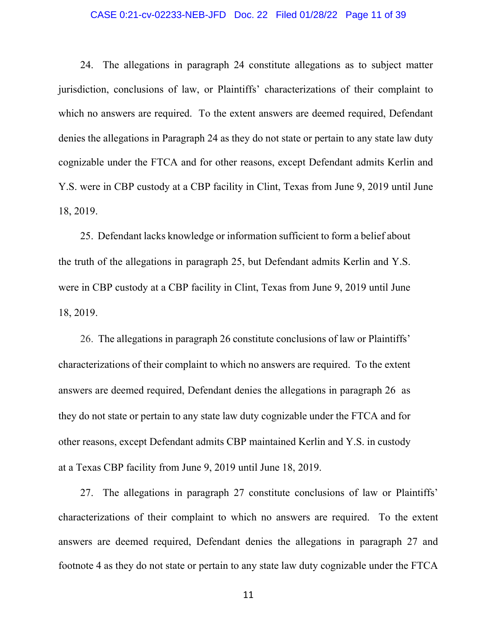#### CASE 0:21-cv-02233-NEB-JFD Doc. 22 Filed 01/28/22 Page 11 of 39

24. The allegations in paragraph 24 constitute allegations as to subject matter jurisdiction, conclusions of law, or Plaintiffs' characterizations of their complaint to which no answers are required. To the extent answers are deemed required, Defendant denies the allegations in Paragraph 24 as they do not state or pertain to any state law duty cognizable under the FTCA and for other reasons, except Defendant admits Kerlin and Y.S. were in CBP custody at a CBP facility in Clint, Texas from June 9, 2019 until June 18, 2019.

25. Defendant lacks knowledge or information sufficient to form a belief about the truth of the allegations in paragraph 25, but Defendant admits Kerlin and Y.S. were in CBP custody at a CBP facility in Clint, Texas from June 9, 2019 until June 18, 2019.

26. The allegations in paragraph 26 constitute conclusions of law or Plaintiffs' characterizations of their complaint to which no answers are required. To the extent answers are deemed required, Defendant denies the allegations in paragraph 26 as they do not state or pertain to any state law duty cognizable under the FTCA and for other reasons, except Defendant admits CBP maintained Kerlin and Y.S. in custody at a Texas CBP facility from June 9, 2019 until June 18, 2019.

27. The allegations in paragraph 27 constitute conclusions of law or Plaintiffs' characterizations of their complaint to which no answers are required. To the extent answers are deemed required, Defendant denies the allegations in paragraph 27 and footnote 4 as they do not state or pertain to any state law duty cognizable under the FTCA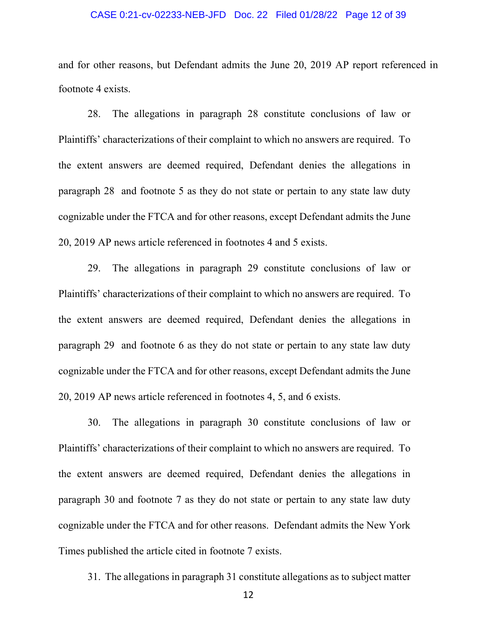#### CASE 0:21-cv-02233-NEB-JFD Doc. 22 Filed 01/28/22 Page 12 of 39

and for other reasons, but Defendant admits the June 20, 2019 AP report referenced in footnote 4 exists.

28. The allegations in paragraph 28 constitute conclusions of law or Plaintiffs' characterizations of their complaint to which no answers are required. To the extent answers are deemed required, Defendant denies the allegations in paragraph 28 and footnote 5 as they do not state or pertain to any state law duty cognizable under the FTCA and for other reasons, except Defendant admits the June 20, 2019 AP news article referenced in footnotes 4 and 5 exists.

29. The allegations in paragraph 29 constitute conclusions of law or Plaintiffs' characterizations of their complaint to which no answers are required. To the extent answers are deemed required, Defendant denies the allegations in paragraph 29 and footnote 6 as they do not state or pertain to any state law duty cognizable under the FTCA and for other reasons, except Defendant admits the June 20, 2019 AP news article referenced in footnotes 4, 5, and 6 exists.

30. The allegations in paragraph 30 constitute conclusions of law or Plaintiffs' characterizations of their complaint to which no answers are required. To the extent answers are deemed required, Defendant denies the allegations in paragraph 30 and footnote 7 as they do not state or pertain to any state law duty cognizable under the FTCA and for other reasons. Defendant admits the New York Times published the article cited in footnote 7 exists.

31. The allegations in paragraph 31 constitute allegations as to subject matter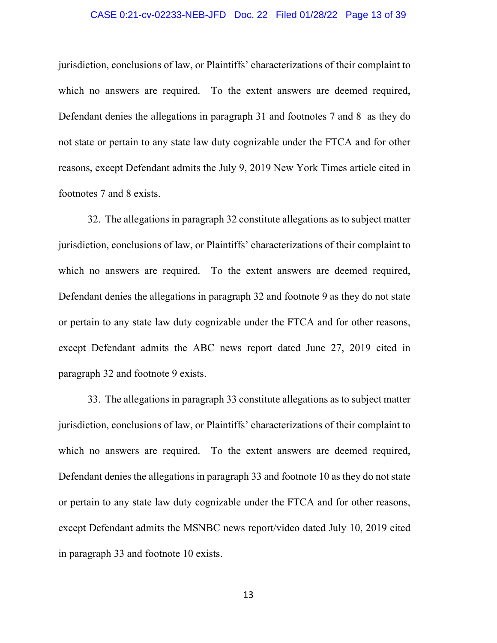#### CASE 0:21-cv-02233-NEB-JFD Doc. 22 Filed 01/28/22 Page 13 of 39

jurisdiction, conclusions of law, or Plaintiffs' characterizations of their complaint to which no answers are required. To the extent answers are deemed required, Defendant denies the allegations in paragraph 31 and footnotes 7 and 8 as they do not state or pertain to any state law duty cognizable under the FTCA and for other reasons, except Defendant admits the July 9, 2019 New York Times article cited in footnotes 7 and 8 exists.

32. The allegations in paragraph 32 constitute allegations as to subject matter jurisdiction, conclusions of law, or Plaintiffs' characterizations of their complaint to which no answers are required. To the extent answers are deemed required, Defendant denies the allegations in paragraph 32 and footnote 9 as they do not state or pertain to any state law duty cognizable under the FTCA and for other reasons, except Defendant admits the ABC news report dated June 27, 2019 cited in paragraph 32 and footnote 9 exists.

33. The allegations in paragraph 33 constitute allegations as to subject matter jurisdiction, conclusions of law, or Plaintiffs' characterizations of their complaint to which no answers are required. To the extent answers are deemed required, Defendant denies the allegations in paragraph 33 and footnote 10 as they do not state or pertain to any state law duty cognizable under the FTCA and for other reasons, except Defendant admits the MSNBC news report/video dated July 10, 2019 cited in paragraph 33 and footnote 10 exists.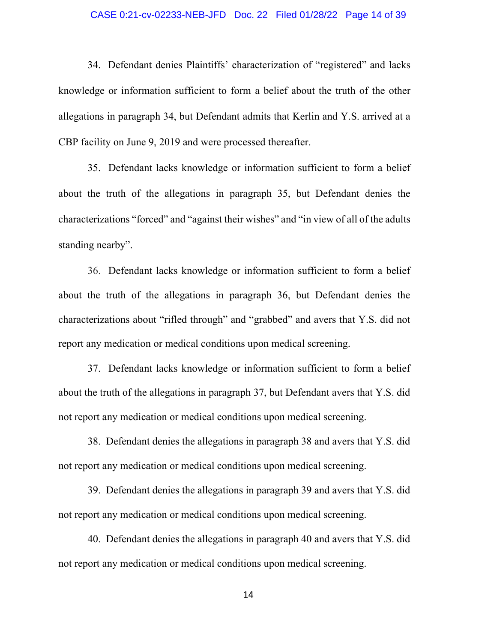#### CASE 0:21-cv-02233-NEB-JFD Doc. 22 Filed 01/28/22 Page 14 of 39

34. Defendant denies Plaintiffs' characterization of "registered" and lacks knowledge or information sufficient to form a belief about the truth of the other allegations in paragraph 34, but Defendant admits that Kerlin and Y.S. arrived at a CBP facility on June 9, 2019 and were processed thereafter.

35. Defendant lacks knowledge or information sufficient to form a belief about the truth of the allegations in paragraph 35, but Defendant denies the characterizations "forced" and "against their wishes" and "in view of all of the adults standing nearby".

36. Defendant lacks knowledge or information sufficient to form a belief about the truth of the allegations in paragraph 36, but Defendant denies the characterizations about "rifled through" and "grabbed" and avers that Y.S. did not report any medication or medical conditions upon medical screening.

37. Defendant lacks knowledge or information sufficient to form a belief about the truth of the allegations in paragraph 37, but Defendant avers that Y.S. did not report any medication or medical conditions upon medical screening.

38. Defendant denies the allegations in paragraph 38 and avers that Y.S. did not report any medication or medical conditions upon medical screening.

39. Defendant denies the allegations in paragraph 39 and avers that Y.S. did not report any medication or medical conditions upon medical screening.

40. Defendant denies the allegations in paragraph 40 and avers that Y.S. did not report any medication or medical conditions upon medical screening.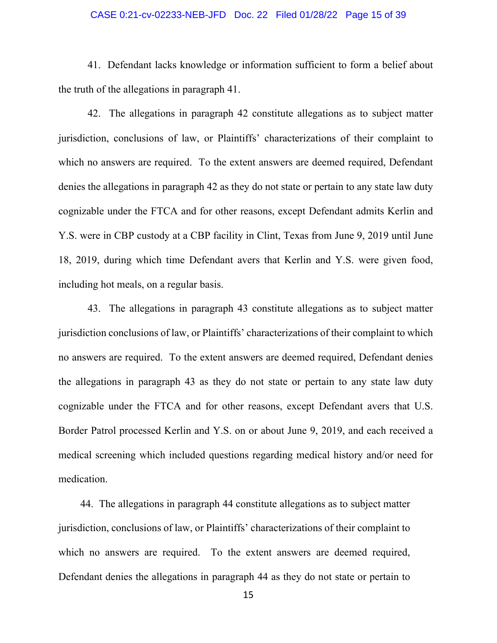#### CASE 0:21-cv-02233-NEB-JFD Doc. 22 Filed 01/28/22 Page 15 of 39

41. Defendant lacks knowledge or information sufficient to form a belief about the truth of the allegations in paragraph 41.

42. The allegations in paragraph 42 constitute allegations as to subject matter jurisdiction, conclusions of law, or Plaintiffs' characterizations of their complaint to which no answers are required. To the extent answers are deemed required, Defendant denies the allegations in paragraph 42 as they do not state or pertain to any state law duty cognizable under the FTCA and for other reasons, except Defendant admits Kerlin and Y.S. were in CBP custody at a CBP facility in Clint, Texas from June 9, 2019 until June 18, 2019, during which time Defendant avers that Kerlin and Y.S. were given food, including hot meals, on a regular basis.

43. The allegations in paragraph 43 constitute allegations as to subject matter jurisdiction conclusions of law, or Plaintiffs' characterizations of their complaint to which no answers are required. To the extent answers are deemed required, Defendant denies the allegations in paragraph 43 as they do not state or pertain to any state law duty cognizable under the FTCA and for other reasons, except Defendant avers that U.S. Border Patrol processed Kerlin and Y.S. on or about June 9, 2019, and each received a medical screening which included questions regarding medical history and/or need for medication.

44. The allegations in paragraph 44 constitute allegations as to subject matter jurisdiction, conclusions of law, or Plaintiffs' characterizations of their complaint to which no answers are required. To the extent answers are deemed required, Defendant denies the allegations in paragraph 44 as they do not state or pertain to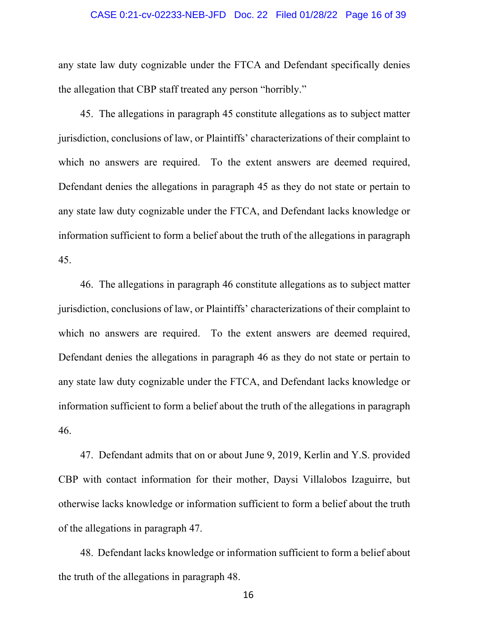#### CASE 0:21-cv-02233-NEB-JFD Doc. 22 Filed 01/28/22 Page 16 of 39

any state law duty cognizable under the FTCA and Defendant specifically denies the allegation that CBP staff treated any person "horribly."

45. The allegations in paragraph 45 constitute allegations as to subject matter jurisdiction, conclusions of law, or Plaintiffs' characterizations of their complaint to which no answers are required. To the extent answers are deemed required, Defendant denies the allegations in paragraph 45 as they do not state or pertain to any state law duty cognizable under the FTCA, and Defendant lacks knowledge or information sufficient to form a belief about the truth of the allegations in paragraph 45.

46. The allegations in paragraph 46 constitute allegations as to subject matter jurisdiction, conclusions of law, or Plaintiffs' characterizations of their complaint to which no answers are required. To the extent answers are deemed required, Defendant denies the allegations in paragraph 46 as they do not state or pertain to any state law duty cognizable under the FTCA, and Defendant lacks knowledge or information sufficient to form a belief about the truth of the allegations in paragraph 46.

47. Defendant admits that on or about June 9, 2019, Kerlin and Y.S. provided CBP with contact information for their mother, Daysi Villalobos Izaguirre, but otherwise lacks knowledge or information sufficient to form a belief about the truth of the allegations in paragraph 47.

48. Defendant lacks knowledge or information sufficient to form a belief about the truth of the allegations in paragraph 48.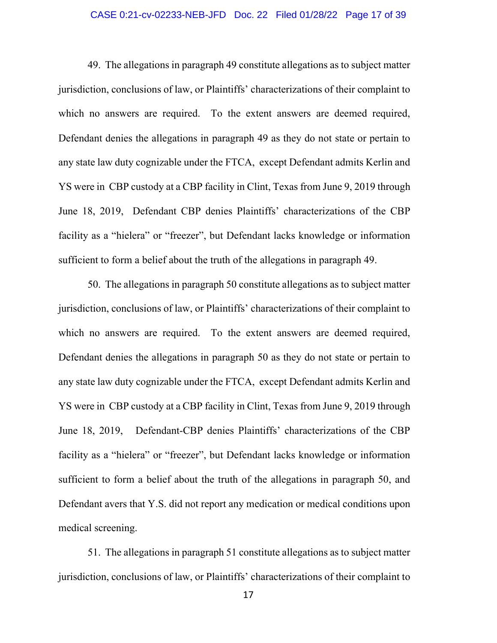#### CASE 0:21-cv-02233-NEB-JFD Doc. 22 Filed 01/28/22 Page 17 of 39

49. The allegations in paragraph 49 constitute allegations as to subject matter jurisdiction, conclusions of law, or Plaintiffs' characterizations of their complaint to which no answers are required. To the extent answers are deemed required, Defendant denies the allegations in paragraph 49 as they do not state or pertain to any state law duty cognizable under the FTCA, except Defendant admits Kerlin and YS were in CBP custody at a CBP facility in Clint, Texas from June 9, 2019 through June 18, 2019, Defendant CBP denies Plaintiffs' characterizations of the CBP facility as a "hielera" or "freezer", but Defendant lacks knowledge or information sufficient to form a belief about the truth of the allegations in paragraph 49.

50. The allegations in paragraph 50 constitute allegations as to subject matter jurisdiction, conclusions of law, or Plaintiffs' characterizations of their complaint to which no answers are required. To the extent answers are deemed required, Defendant denies the allegations in paragraph 50 as they do not state or pertain to any state law duty cognizable under the FTCA, except Defendant admits Kerlin and YS were in CBP custody at a CBP facility in Clint, Texas from June 9, 2019 through June 18, 2019, Defendant-CBP denies Plaintiffs' characterizations of the CBP facility as a "hielera" or "freezer", but Defendant lacks knowledge or information sufficient to form a belief about the truth of the allegations in paragraph 50, and Defendant avers that Y.S. did not report any medication or medical conditions upon medical screening.

51. The allegations in paragraph 51 constitute allegations as to subject matter jurisdiction, conclusions of law, or Plaintiffs' characterizations of their complaint to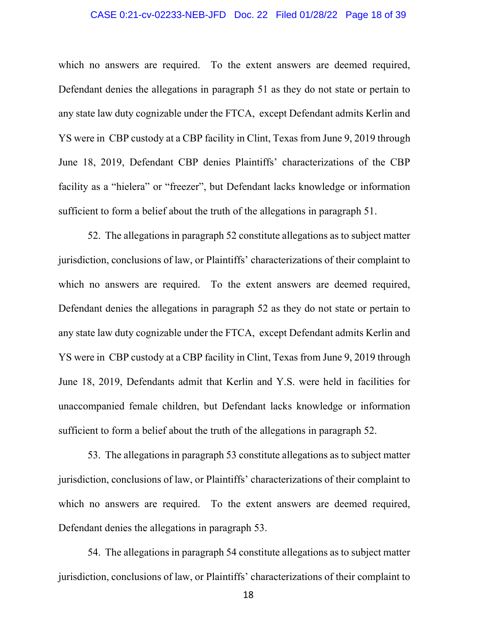#### CASE 0:21-cv-02233-NEB-JFD Doc. 22 Filed 01/28/22 Page 18 of 39

which no answers are required. To the extent answers are deemed required, Defendant denies the allegations in paragraph 51 as they do not state or pertain to any state law duty cognizable under the FTCA, except Defendant admits Kerlin and YS were in CBP custody at a CBP facility in Clint, Texas from June 9, 2019 through June 18, 2019, Defendant CBP denies Plaintiffs' characterizations of the CBP facility as a "hielera" or "freezer", but Defendant lacks knowledge or information sufficient to form a belief about the truth of the allegations in paragraph 51.

52. The allegations in paragraph 52 constitute allegations as to subject matter jurisdiction, conclusions of law, or Plaintiffs' characterizations of their complaint to which no answers are required. To the extent answers are deemed required, Defendant denies the allegations in paragraph 52 as they do not state or pertain to any state law duty cognizable under the FTCA, except Defendant admits Kerlin and YS were in CBP custody at a CBP facility in Clint, Texas from June 9, 2019 through June 18, 2019, Defendants admit that Kerlin and Y.S. were held in facilities for unaccompanied female children, but Defendant lacks knowledge or information sufficient to form a belief about the truth of the allegations in paragraph 52.

53. The allegations in paragraph 53 constitute allegations as to subject matter jurisdiction, conclusions of law, or Plaintiffs' characterizations of their complaint to which no answers are required. To the extent answers are deemed required, Defendant denies the allegations in paragraph 53.

54. The allegations in paragraph 54 constitute allegations as to subject matter jurisdiction, conclusions of law, or Plaintiffs' characterizations of their complaint to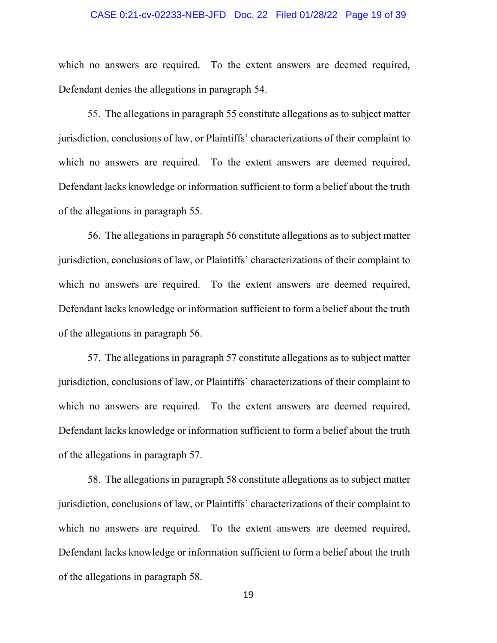#### CASE 0:21-cv-02233-NEB-JFD Doc. 22 Filed 01/28/22 Page 19 of 39

which no answers are required. To the extent answers are deemed required, Defendant denies the allegations in paragraph 54.

55. The allegations in paragraph 55 constitute allegations as to subject matter jurisdiction, conclusions of law, or Plaintiffs' characterizations of their complaint to which no answers are required. To the extent answers are deemed required, Defendant lacks knowledge or information sufficient to form a belief about the truth of the allegations in paragraph 55.

56. The allegations in paragraph 56 constitute allegations as to subject matter jurisdiction, conclusions of law, or Plaintiffs' characterizations of their complaint to which no answers are required. To the extent answers are deemed required, Defendant lacks knowledge or information sufficient to form a belief about the truth of the allegations in paragraph 56.

57. The allegations in paragraph 57 constitute allegations as to subject matter jurisdiction, conclusions of law, or Plaintiffs' characterizations of their complaint to which no answers are required. To the extent answers are deemed required, Defendant lacks knowledge or information sufficient to form a belief about the truth of the allegations in paragraph 57.

58. The allegations in paragraph 58 constitute allegations as to subject matter jurisdiction, conclusions of law, or Plaintiffs' characterizations of their complaint to which no answers are required. To the extent answers are deemed required, Defendant lacks knowledge or information sufficient to form a belief about the truth of the allegations in paragraph 58.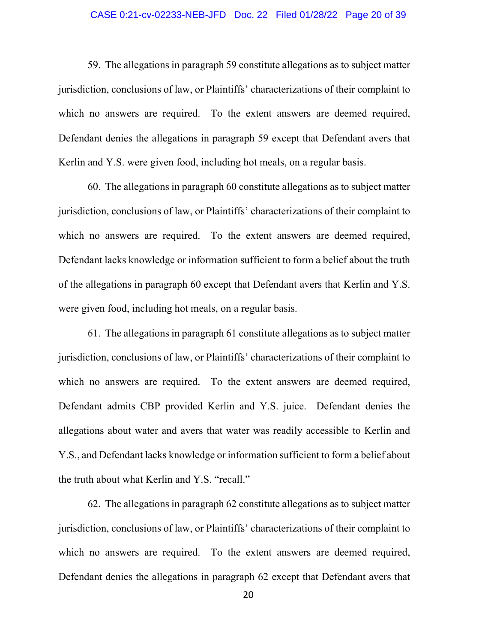#### CASE 0:21-cv-02233-NEB-JFD Doc. 22 Filed 01/28/22 Page 20 of 39

59. The allegations in paragraph 59 constitute allegations as to subject matter jurisdiction, conclusions of law, or Plaintiffs' characterizations of their complaint to which no answers are required. To the extent answers are deemed required, Defendant denies the allegations in paragraph 59 except that Defendant avers that Kerlin and Y.S. were given food, including hot meals, on a regular basis.

60. The allegations in paragraph 60 constitute allegations as to subject matter jurisdiction, conclusions of law, or Plaintiffs' characterizations of their complaint to which no answers are required. To the extent answers are deemed required, Defendant lacks knowledge or information sufficient to form a belief about the truth of the allegations in paragraph 60 except that Defendant avers that Kerlin and Y.S. were given food, including hot meals, on a regular basis.

61. The allegations in paragraph 61 constitute allegations as to subject matter jurisdiction, conclusions of law, or Plaintiffs' characterizations of their complaint to which no answers are required. To the extent answers are deemed required, Defendant admits CBP provided Kerlin and Y.S. juice. Defendant denies the allegations about water and avers that water was readily accessible to Kerlin and Y.S., and Defendant lacks knowledge or information sufficient to form a belief about the truth about what Kerlin and Y.S. "recall."

62. The allegations in paragraph 62 constitute allegations as to subject matter jurisdiction, conclusions of law, or Plaintiffs' characterizations of their complaint to which no answers are required. To the extent answers are deemed required, Defendant denies the allegations in paragraph 62 except that Defendant avers that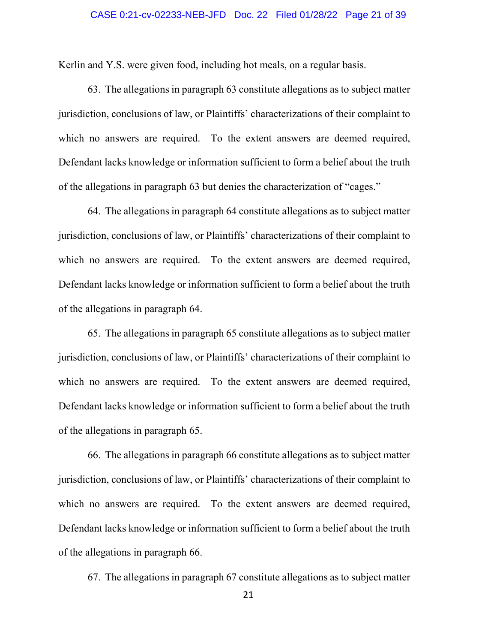#### CASE 0:21-cv-02233-NEB-JFD Doc. 22 Filed 01/28/22 Page 21 of 39

Kerlin and Y.S. were given food, including hot meals, on a regular basis.

63. The allegations in paragraph 63 constitute allegations as to subject matter jurisdiction, conclusions of law, or Plaintiffs' characterizations of their complaint to which no answers are required. To the extent answers are deemed required, Defendant lacks knowledge or information sufficient to form a belief about the truth of the allegations in paragraph 63 but denies the characterization of "cages."

64. The allegations in paragraph 64 constitute allegations as to subject matter jurisdiction, conclusions of law, or Plaintiffs' characterizations of their complaint to which no answers are required. To the extent answers are deemed required, Defendant lacks knowledge or information sufficient to form a belief about the truth of the allegations in paragraph 64.

65. The allegations in paragraph 65 constitute allegations as to subject matter jurisdiction, conclusions of law, or Plaintiffs' characterizations of their complaint to which no answers are required. To the extent answers are deemed required, Defendant lacks knowledge or information sufficient to form a belief about the truth of the allegations in paragraph 65.

66. The allegations in paragraph 66 constitute allegations as to subject matter jurisdiction, conclusions of law, or Plaintiffs' characterizations of their complaint to which no answers are required. To the extent answers are deemed required, Defendant lacks knowledge or information sufficient to form a belief about the truth of the allegations in paragraph 66.

67. The allegations in paragraph 67 constitute allegations as to subject matter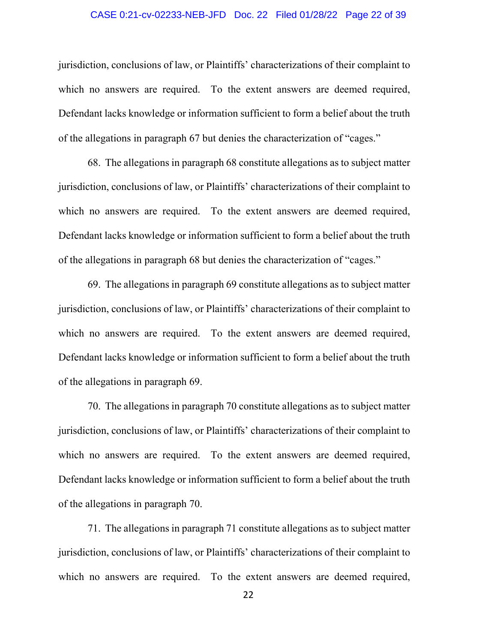#### CASE 0:21-cv-02233-NEB-JFD Doc. 22 Filed 01/28/22 Page 22 of 39

jurisdiction, conclusions of law, or Plaintiffs' characterizations of their complaint to which no answers are required. To the extent answers are deemed required, Defendant lacks knowledge or information sufficient to form a belief about the truth of the allegations in paragraph 67 but denies the characterization of "cages."

68. The allegations in paragraph 68 constitute allegations as to subject matter jurisdiction, conclusions of law, or Plaintiffs' characterizations of their complaint to which no answers are required. To the extent answers are deemed required, Defendant lacks knowledge or information sufficient to form a belief about the truth of the allegations in paragraph 68 but denies the characterization of "cages."

69. The allegations in paragraph 69 constitute allegations as to subject matter jurisdiction, conclusions of law, or Plaintiffs' characterizations of their complaint to which no answers are required. To the extent answers are deemed required, Defendant lacks knowledge or information sufficient to form a belief about the truth of the allegations in paragraph 69.

70. The allegations in paragraph 70 constitute allegations as to subject matter jurisdiction, conclusions of law, or Plaintiffs' characterizations of their complaint to which no answers are required. To the extent answers are deemed required, Defendant lacks knowledge or information sufficient to form a belief about the truth of the allegations in paragraph 70.

71. The allegations in paragraph 71 constitute allegations as to subject matter jurisdiction, conclusions of law, or Plaintiffs' characterizations of their complaint to which no answers are required. To the extent answers are deemed required,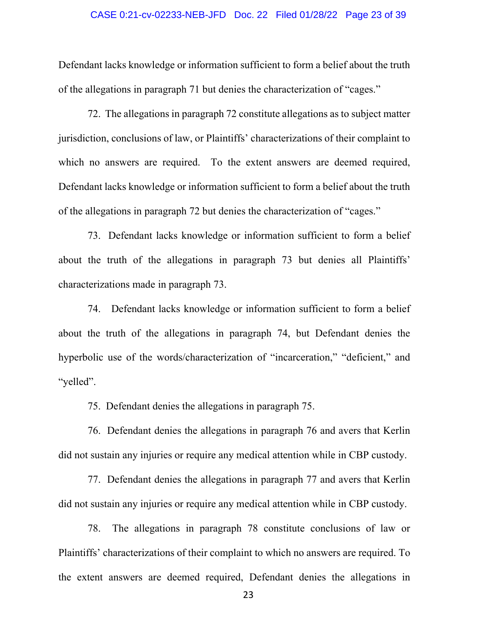#### CASE 0:21-cv-02233-NEB-JFD Doc. 22 Filed 01/28/22 Page 23 of 39

Defendant lacks knowledge or information sufficient to form a belief about the truth of the allegations in paragraph 71 but denies the characterization of "cages."

72. The allegations in paragraph 72 constitute allegations as to subject matter jurisdiction, conclusions of law, or Plaintiffs' characterizations of their complaint to which no answers are required. To the extent answers are deemed required, Defendant lacks knowledge or information sufficient to form a belief about the truth of the allegations in paragraph 72 but denies the characterization of "cages."

73. Defendant lacks knowledge or information sufficient to form a belief about the truth of the allegations in paragraph 73 but denies all Plaintiffs' characterizations made in paragraph 73.

74. Defendant lacks knowledge or information sufficient to form a belief about the truth of the allegations in paragraph 74, but Defendant denies the hyperbolic use of the words/characterization of "incarceration," "deficient," and "yelled".

75. Defendant denies the allegations in paragraph 75.

76. Defendant denies the allegations in paragraph 76 and avers that Kerlin did not sustain any injuries or require any medical attention while in CBP custody.

77. Defendant denies the allegations in paragraph 77 and avers that Kerlin did not sustain any injuries or require any medical attention while in CBP custody.

78. The allegations in paragraph 78 constitute conclusions of law or Plaintiffs' characterizations of their complaint to which no answers are required. To the extent answers are deemed required, Defendant denies the allegations in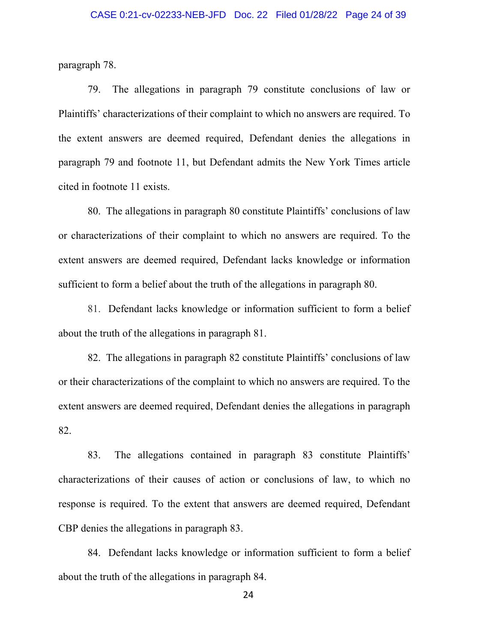paragraph 78.

79. The allegations in paragraph 79 constitute conclusions of law or Plaintiffs' characterizations of their complaint to which no answers are required. To the extent answers are deemed required, Defendant denies the allegations in paragraph 79 and footnote 11, but Defendant admits the New York Times article cited in footnote 11 exists.

80. The allegations in paragraph 80 constitute Plaintiffs' conclusions of law or characterizations of their complaint to which no answers are required. To the extent answers are deemed required, Defendant lacks knowledge or information sufficient to form a belief about the truth of the allegations in paragraph 80.

81. Defendant lacks knowledge or information sufficient to form a belief about the truth of the allegations in paragraph 81.

82. The allegations in paragraph 82 constitute Plaintiffs' conclusions of law or their characterizations of the complaint to which no answers are required. To the extent answers are deemed required, Defendant denies the allegations in paragraph 82.

83. The allegations contained in paragraph 83 constitute Plaintiffs' characterizations of their causes of action or conclusions of law, to which no response is required. To the extent that answers are deemed required, Defendant CBP denies the allegations in paragraph 83.

84. Defendant lacks knowledge or information sufficient to form a belief about the truth of the allegations in paragraph 84.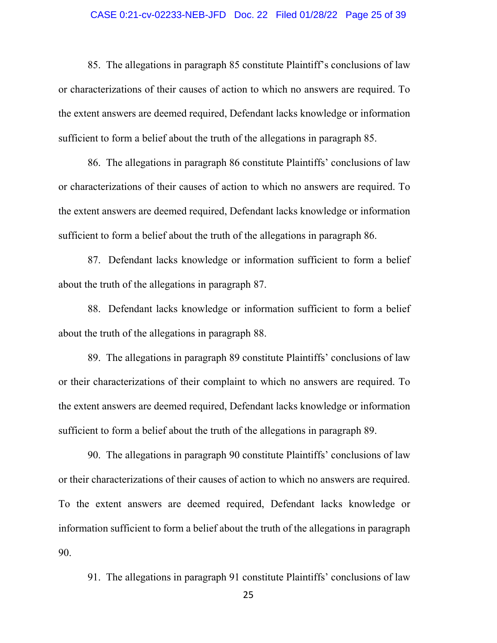#### CASE 0:21-cv-02233-NEB-JFD Doc. 22 Filed 01/28/22 Page 25 of 39

85. The allegations in paragraph 85 constitute Plaintiff's conclusions of law or characterizations of their causes of action to which no answers are required. To the extent answers are deemed required, Defendant lacks knowledge or information sufficient to form a belief about the truth of the allegations in paragraph 85.

86. The allegations in paragraph 86 constitute Plaintiffs' conclusions of law or characterizations of their causes of action to which no answers are required. To the extent answers are deemed required, Defendant lacks knowledge or information sufficient to form a belief about the truth of the allegations in paragraph 86.

87. Defendant lacks knowledge or information sufficient to form a belief about the truth of the allegations in paragraph 87.

88. Defendant lacks knowledge or information sufficient to form a belief about the truth of the allegations in paragraph 88.

89. The allegations in paragraph 89 constitute Plaintiffs' conclusions of law or their characterizations of their complaint to which no answers are required. To the extent answers are deemed required, Defendant lacks knowledge or information sufficient to form a belief about the truth of the allegations in paragraph 89.

90. The allegations in paragraph 90 constitute Plaintiffs' conclusions of law or their characterizations of their causes of action to which no answers are required. To the extent answers are deemed required, Defendant lacks knowledge or information sufficient to form a belief about the truth of the allegations in paragraph 90.

91. The allegations in paragraph 91 constitute Plaintiffs' conclusions of law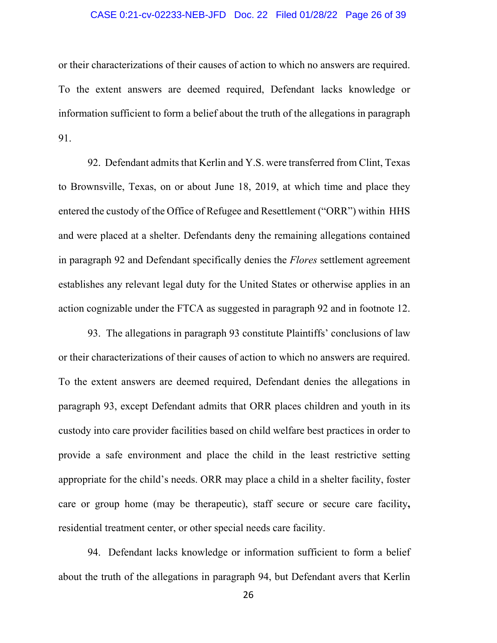#### CASE 0:21-cv-02233-NEB-JFD Doc. 22 Filed 01/28/22 Page 26 of 39

or their characterizations of their causes of action to which no answers are required. To the extent answers are deemed required, Defendant lacks knowledge or information sufficient to form a belief about the truth of the allegations in paragraph 91.

92. Defendant admits that Kerlin and Y.S. were transferred from Clint, Texas to Brownsville, Texas, on or about June 18, 2019, at which time and place they entered the custody of the Office of Refugee and Resettlement ("ORR") within HHS and were placed at a shelter. Defendants deny the remaining allegations contained in paragraph 92 and Defendant specifically denies the *Flores* settlement agreement establishes any relevant legal duty for the United States or otherwise applies in an action cognizable under the FTCA as suggested in paragraph 92 and in footnote 12.

93. The allegations in paragraph 93 constitute Plaintiffs' conclusions of law or their characterizations of their causes of action to which no answers are required. To the extent answers are deemed required, Defendant denies the allegations in paragraph 93, except Defendant admits that ORR places children and youth in its custody into care provider facilities based on child welfare best practices in order to provide a safe environment and place the child in the least restrictive setting appropriate for the child's needs. ORR may place a child in a [shelter facility,](https://www.acf.hhs.gov/orr/resource/children-entering-the-united-states-unaccompanied-guide-to-terms#Shelter%20Care) foster care or [group home](https://www.acf.hhs.gov/orr/resource/children-entering-the-united-states-unaccompanied-guide-to-terms#Group%20Home) (may be [therapeutic\)](https://www.acf.hhs.gov/orr/resource/children-entering-the-united-states-unaccompanied-guide-to-terms#Therapeutic%20Foster%20Care), [staff secure](https://www.acf.hhs.gov/orr/resource/children-entering-the-united-states-unaccompanied-guide-to-terms#Staff%20Secure%20Care) or [secure care](https://www.acf.hhs.gov/orr/resource/children-entering-the-united-states-unaccompanied-guide-to-terms#Secure%20Care) facility**,**  [residential treatment center,](https://www.acf.hhs.gov/orr/resource/children-entering-the-united-states-unaccompanied-guide-to-terms#Residential%20Treatment%20Center) or other special needs care facility.

94. Defendant lacks knowledge or information sufficient to form a belief about the truth of the allegations in paragraph 94, but Defendant avers that Kerlin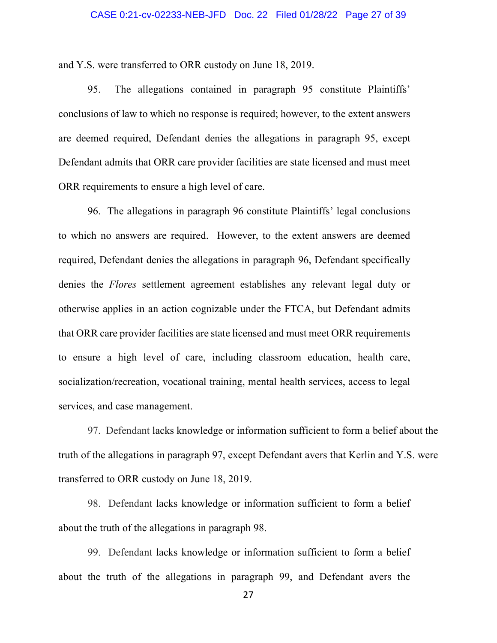#### CASE 0:21-cv-02233-NEB-JFD Doc. 22 Filed 01/28/22 Page 27 of 39

and Y.S. were transferred to ORR custody on June 18, 2019.

95. The allegations contained in paragraph 95 constitute Plaintiffs' conclusions of law to which no response is required; however, to the extent answers are deemed required, Defendant denies the allegations in paragraph 95, except Defendant admits that ORR care provider facilities are state licensed and must meet ORR requirements to ensure a high level of care.

96. The allegations in paragraph 96 constitute Plaintiffs' legal conclusions to which no answers are required. However, to the extent answers are deemed required, Defendant denies the allegations in paragraph 96, Defendant specifically denies the *Flores* settlement agreement establishes any relevant legal duty or otherwise applies in an action cognizable under the FTCA, but Defendant admits that ORR care provider facilities are state licensed and must meet ORR requirements to ensure a high level of care, including classroom education, health care, socialization/recreation, vocational training, mental health services, access to legal services, and case management.

97. Defendant lacks knowledge or information sufficient to form a belief about the truth of the allegations in paragraph 97, except Defendant avers that Kerlin and Y.S. were transferred to ORR custody on June 18, 2019.

98. Defendant lacks knowledge or information sufficient to form a belief about the truth of the allegations in paragraph 98.

99. Defendant lacks knowledge or information sufficient to form a belief about the truth of the allegations in paragraph 99, and Defendant avers the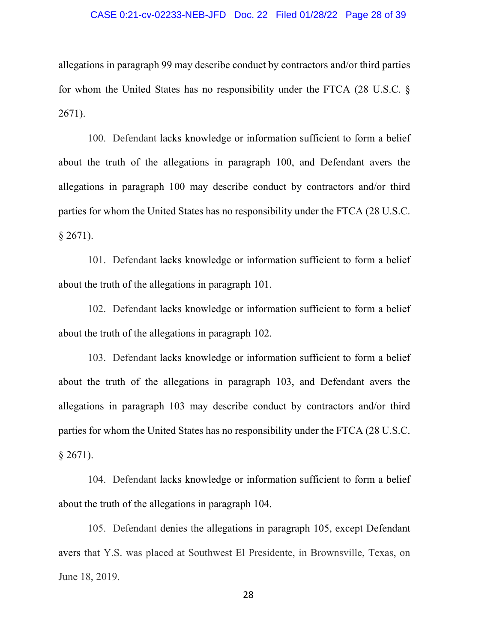#### CASE 0:21-cv-02233-NEB-JFD Doc. 22 Filed 01/28/22 Page 28 of 39

allegations in paragraph 99 may describe conduct by contractors and/or third parties for whom the United States has no responsibility under the FTCA (28 U.S.C. § 2671).

100. Defendant lacks knowledge or information sufficient to form a belief about the truth of the allegations in paragraph 100, and Defendant avers the allegations in paragraph 100 may describe conduct by contractors and/or third parties for whom the United States has no responsibility under the FTCA (28 U.S.C.  $§$  2671).

101. Defendant lacks knowledge or information sufficient to form a belief about the truth of the allegations in paragraph 101.

102. Defendant lacks knowledge or information sufficient to form a belief about the truth of the allegations in paragraph 102.

103. Defendant lacks knowledge or information sufficient to form a belief about the truth of the allegations in paragraph 103, and Defendant avers the allegations in paragraph 103 may describe conduct by contractors and/or third parties for whom the United States has no responsibility under the FTCA (28 U.S.C.  $§$  2671).

104. Defendant lacks knowledge or information sufficient to form a belief about the truth of the allegations in paragraph 104.

105. Defendant denies the allegations in paragraph 105, except Defendant avers that Y.S. was placed at Southwest El Presidente, in Brownsville, Texas, on June 18, 2019.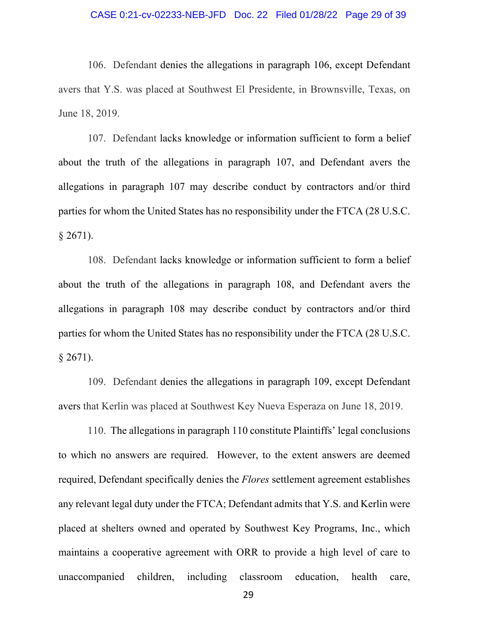#### CASE 0:21-cv-02233-NEB-JFD Doc. 22 Filed 01/28/22 Page 29 of 39

106. Defendant denies the allegations in paragraph 106, except Defendant avers that Y.S. was placed at Southwest El Presidente, in Brownsville, Texas, on June 18, 2019.

107. Defendant lacks knowledge or information sufficient to form a belief about the truth of the allegations in paragraph 107, and Defendant avers the allegations in paragraph 107 may describe conduct by contractors and/or third parties for whom the United States has no responsibility under the FTCA (28 U.S.C.  $§$  2671).

108. Defendant lacks knowledge or information sufficient to form a belief about the truth of the allegations in paragraph 108, and Defendant avers the allegations in paragraph 108 may describe conduct by contractors and/or third parties for whom the United States has no responsibility under the FTCA (28 U.S.C.  $§$  2671).

109. Defendant denies the allegations in paragraph 109, except Defendant avers that Kerlin was placed at Southwest Key Nueva Esperaza on June 18, 2019.

110. The allegations in paragraph 110 constitute Plaintiffs' legal conclusions to which no answers are required. However, to the extent answers are deemed required, Defendant specifically denies the *Flores* settlement agreement establishes any relevant legal duty under the FTCA; Defendant admits that Y.S. and Kerlin were placed at shelters owned and operated by Southwest Key Programs, Inc., which maintains a cooperative agreement with ORR to provide a high level of care to unaccompanied children, including classroom education, health care,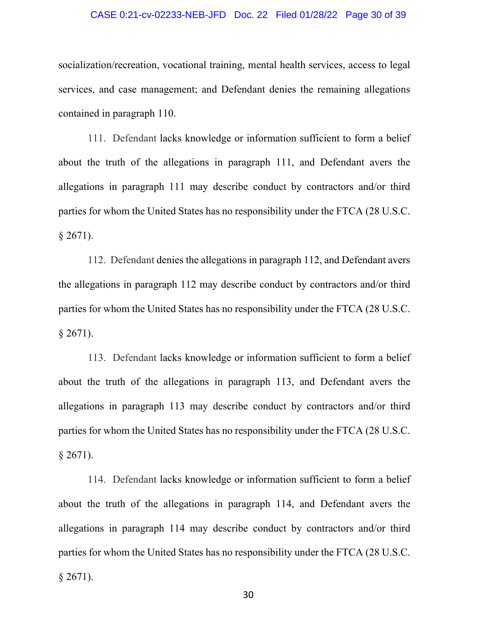#### CASE 0:21-cv-02233-NEB-JFD Doc. 22 Filed 01/28/22 Page 30 of 39

socialization/recreation, vocational training, mental health services, access to legal services, and case management; and Defendant denies the remaining allegations contained in paragraph 110.

111. Defendant lacks knowledge or information sufficient to form a belief about the truth of the allegations in paragraph 111, and Defendant avers the allegations in paragraph 111 may describe conduct by contractors and/or third parties for whom the United States has no responsibility under the FTCA (28 U.S.C.  $§$  2671).

112. Defendant denies the allegations in paragraph 112, and Defendant avers the allegations in paragraph 112 may describe conduct by contractors and/or third parties for whom the United States has no responsibility under the FTCA (28 U.S.C.  $§$  2671).

113. Defendant lacks knowledge or information sufficient to form a belief about the truth of the allegations in paragraph 113, and Defendant avers the allegations in paragraph 113 may describe conduct by contractors and/or third parties for whom the United States has no responsibility under the FTCA (28 U.S.C.  $§$  2671).

114. Defendant lacks knowledge or information sufficient to form a belief about the truth of the allegations in paragraph 114, and Defendant avers the allegations in paragraph 114 may describe conduct by contractors and/or third parties for whom the United States has no responsibility under the FTCA (28 U.S.C.  $§ 2671$ ).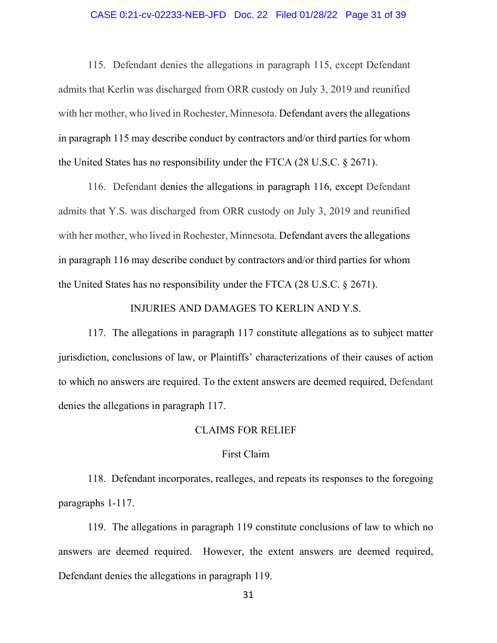#### CASE 0:21-cv-02233-NEB-JFD Doc. 22 Filed 01/28/22 Page 31 of 39

115. Defendant denies the allegations in paragraph 115, except Defendant admits that Kerlin was discharged from ORR custody on July 3, 2019 and reunified with her mother, who lived in Rochester, Minnesota. Defendant avers the allegations in paragraph 115 may describe conduct by contractors and/or third parties for whom the United States has no responsibility under the FTCA (28 U.S.C. § 2671).

116. Defendant denies the allegations in paragraph 116, except Defendant admits that Y.S. was discharged from ORR custody on July 3, 2019 and reunified with her mother, who lived in Rochester, Minnesota. Defendant avers the allegations in paragraph 116 may describe conduct by contractors and/or third parties for whom the United States has no responsibility under the FTCA (28 U.S.C. § 2671).

## INJURIES AND DAMAGES TO KERLIN AND Y.S.

117. The allegations in paragraph 117 constitute allegations as to subject matter jurisdiction, conclusions of law, or Plaintiffs' characterizations of their causes of action to which no answers are required. To the extent answers are deemed required, Defendant denies the allegations in paragraph 117.

## CLAIMS FOR RELIEF

#### First Claim

118. Defendant incorporates, realleges, and repeats its responses to the foregoing paragraphs 1-117.

119. The allegations in paragraph 119 constitute conclusions of law to which no answers are deemed required. However, the extent answers are deemed required, Defendant denies the allegations in paragraph 119.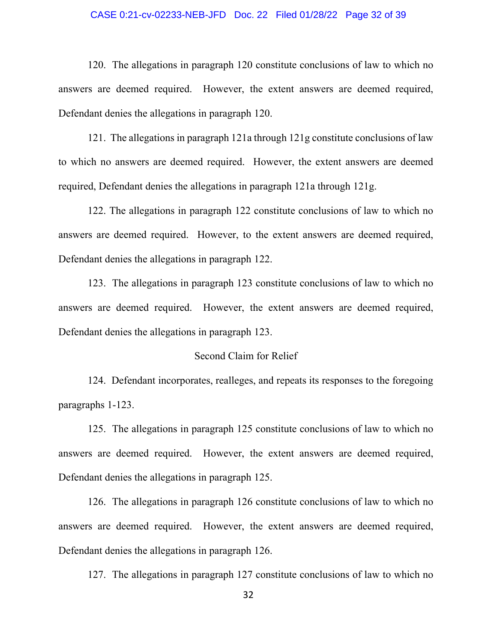#### CASE 0:21-cv-02233-NEB-JFD Doc. 22 Filed 01/28/22 Page 32 of 39

120. The allegations in paragraph 120 constitute conclusions of law to which no answers are deemed required. However, the extent answers are deemed required, Defendant denies the allegations in paragraph 120.

121. The allegations in paragraph 121a through 121g constitute conclusions of law to which no answers are deemed required. However, the extent answers are deemed required, Defendant denies the allegations in paragraph 121a through 121g.

122. The allegations in paragraph 122 constitute conclusions of law to which no answers are deemed required. However, to the extent answers are deemed required, Defendant denies the allegations in paragraph 122.

123. The allegations in paragraph 123 constitute conclusions of law to which no answers are deemed required. However, the extent answers are deemed required, Defendant denies the allegations in paragraph 123.

# Second Claim for Relief

124. Defendant incorporates, realleges, and repeats its responses to the foregoing paragraphs 1-123.

125. The allegations in paragraph 125 constitute conclusions of law to which no answers are deemed required. However, the extent answers are deemed required, Defendant denies the allegations in paragraph 125.

126. The allegations in paragraph 126 constitute conclusions of law to which no answers are deemed required. However, the extent answers are deemed required, Defendant denies the allegations in paragraph 126.

127. The allegations in paragraph 127 constitute conclusions of law to which no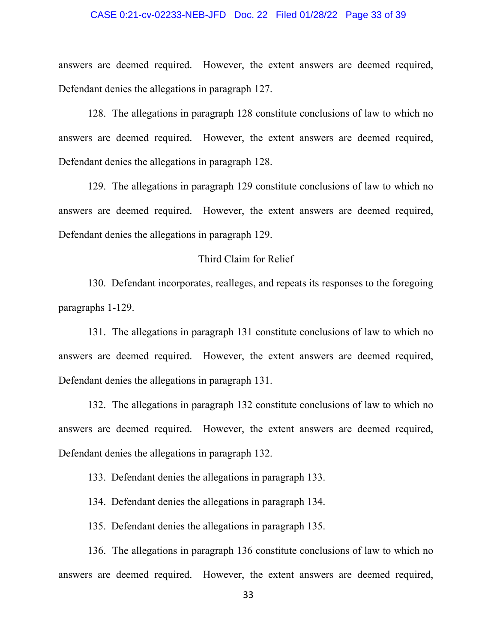#### CASE 0:21-cv-02233-NEB-JFD Doc. 22 Filed 01/28/22 Page 33 of 39

answers are deemed required. However, the extent answers are deemed required, Defendant denies the allegations in paragraph 127.

128. The allegations in paragraph 128 constitute conclusions of law to which no answers are deemed required. However, the extent answers are deemed required, Defendant denies the allegations in paragraph 128.

129. The allegations in paragraph 129 constitute conclusions of law to which no answers are deemed required. However, the extent answers are deemed required, Defendant denies the allegations in paragraph 129.

# Third Claim for Relief

130. Defendant incorporates, realleges, and repeats its responses to the foregoing paragraphs 1-129.

131. The allegations in paragraph 131 constitute conclusions of law to which no answers are deemed required. However, the extent answers are deemed required, Defendant denies the allegations in paragraph 131.

132. The allegations in paragraph 132 constitute conclusions of law to which no answers are deemed required. However, the extent answers are deemed required, Defendant denies the allegations in paragraph 132.

133. Defendant denies the allegations in paragraph 133.

134. Defendant denies the allegations in paragraph 134.

135. Defendant denies the allegations in paragraph 135.

136. The allegations in paragraph 136 constitute conclusions of law to which no answers are deemed required. However, the extent answers are deemed required,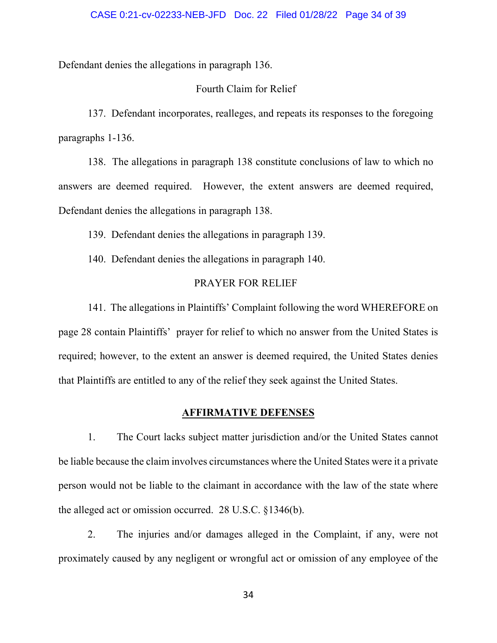Defendant denies the allegations in paragraph 136.

# Fourth Claim for Relief

137. Defendant incorporates, realleges, and repeats its responses to the foregoing paragraphs 1-136.

138. The allegations in paragraph 138 constitute conclusions of law to which no answers are deemed required. However, the extent answers are deemed required, Defendant denies the allegations in paragraph 138.

139. Defendant denies the allegations in paragraph 139.

140. Defendant denies the allegations in paragraph 140.

# PRAYER FOR RELIEF

141. The allegations in Plaintiffs' Complaint following the word WHEREFORE on page 28 contain Plaintiffs' prayer for relief to which no answer from the United States is required; however, to the extent an answer is deemed required, the United States denies that Plaintiffs are entitled to any of the relief they seek against the United States.

# **AFFIRMATIVE DEFENSES**

1. The Court lacks subject matter jurisdiction and/or the United States cannot be liable because the claim involves circumstances where the United States were it a private person would not be liable to the claimant in accordance with the law of the state where the alleged act or omission occurred. 28 U.S.C. §1346(b).

2. The injuries and/or damages alleged in the Complaint, if any, were not proximately caused by any negligent or wrongful act or omission of any employee of the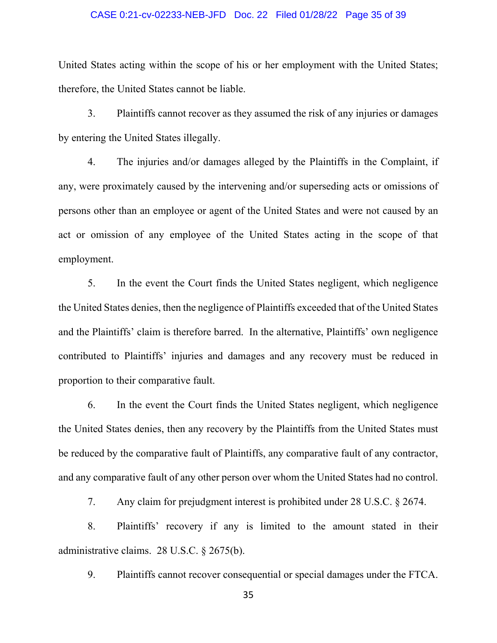#### CASE 0:21-cv-02233-NEB-JFD Doc. 22 Filed 01/28/22 Page 35 of 39

United States acting within the scope of his or her employment with the United States; therefore, the United States cannot be liable.

3. Plaintiffs cannot recover as they assumed the risk of any injuries or damages by entering the United States illegally.

4. The injuries and/or damages alleged by the Plaintiffs in the Complaint, if any, were proximately caused by the intervening and/or superseding acts or omissions of persons other than an employee or agent of the United States and were not caused by an act or omission of any employee of the United States acting in the scope of that employment.

5. In the event the Court finds the United States negligent, which negligence the United States denies, then the negligence of Plaintiffs exceeded that of the United States and the Plaintiffs' claim is therefore barred. In the alternative, Plaintiffs' own negligence contributed to Plaintiffs' injuries and damages and any recovery must be reduced in proportion to their comparative fault.

6. In the event the Court finds the United States negligent, which negligence the United States denies, then any recovery by the Plaintiffs from the United States must be reduced by the comparative fault of Plaintiffs, any comparative fault of any contractor, and any comparative fault of any other person over whom the United States had no control.

7. Any claim for prejudgment interest is prohibited under 28 U.S.C. § 2674.

8. Plaintiffs' recovery if any is limited to the amount stated in their administrative claims. 28 U.S.C. § 2675(b).

9. Plaintiffs cannot recover consequential or special damages under the FTCA.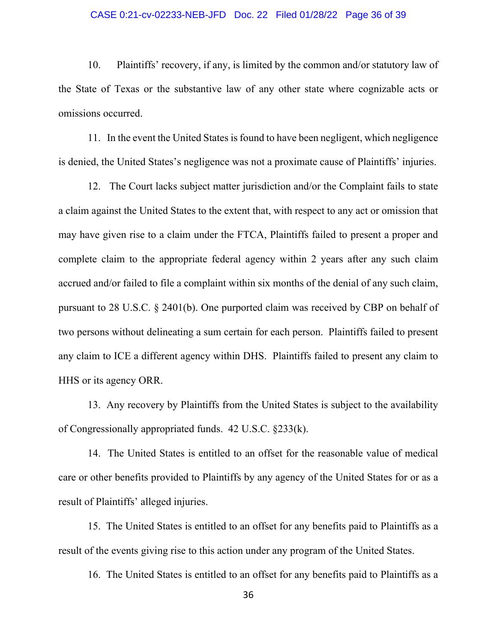#### CASE 0:21-cv-02233-NEB-JFD Doc. 22 Filed 01/28/22 Page 36 of 39

10. Plaintiffs' recovery, if any, is limited by the common and/or statutory law of the State of Texas or the substantive law of any other state where cognizable acts or omissions occurred.

11. In the event the United States is found to have been negligent, which negligence is denied, the United States's negligence was not a proximate cause of Plaintiffs' injuries.

12. The Court lacks subject matter jurisdiction and/or the Complaint fails to state a claim against the United States to the extent that, with respect to any act or omission that may have given rise to a claim under the FTCA, Plaintiffs failed to present a proper and complete claim to the appropriate federal agency within 2 years after any such claim accrued and/or failed to file a complaint within six months of the denial of any such claim, pursuant to 28 U.S.C. § 2401(b). One purported claim was received by CBP on behalf of two persons without delineating a sum certain for each person. Plaintiffs failed to present any claim to ICE a different agency within DHS. Plaintiffs failed to present any claim to HHS or its agency ORR.

13. Any recovery by Plaintiffs from the United States is subject to the availability of Congressionally appropriated funds. 42 U.S.C. §233(k).

14. The United States is entitled to an offset for the reasonable value of medical care or other benefits provided to Plaintiffs by any agency of the United States for or as a result of Plaintiffs' alleged injuries.

15. The United States is entitled to an offset for any benefits paid to Plaintiffs as a result of the events giving rise to this action under any program of the United States.

16. The United States is entitled to an offset for any benefits paid to Plaintiffs as a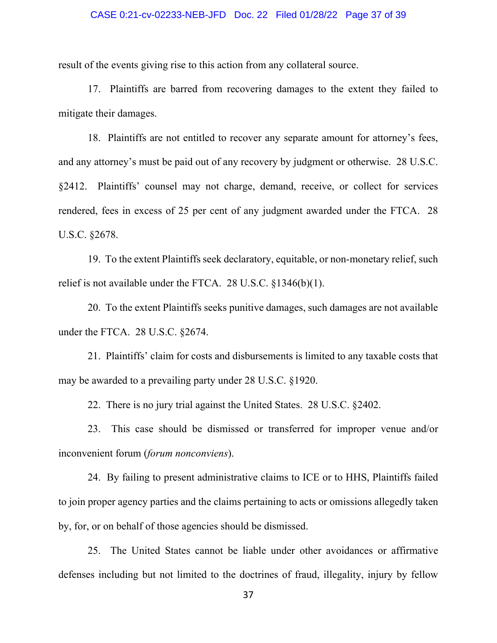#### CASE 0:21-cv-02233-NEB-JFD Doc. 22 Filed 01/28/22 Page 37 of 39

result of the events giving rise to this action from any collateral source.

17. Plaintiffs are barred from recovering damages to the extent they failed to mitigate their damages.

18. Plaintiffs are not entitled to recover any separate amount for attorney's fees, and any attorney's must be paid out of any recovery by judgment or otherwise. 28 U.S.C. §2412. Plaintiffs' counsel may not charge, demand, receive, or collect for services rendered, fees in excess of 25 per cent of any judgment awarded under the FTCA. 28 U.S.C. §2678.

19. To the extent Plaintiffs seek declaratory, equitable, or non-monetary relief, such relief is not available under the FTCA. 28 U.S.C. §1346(b)(1).

20. To the extent Plaintiffs seeks punitive damages, such damages are not available under the FTCA. 28 U.S.C. §2674.

21. Plaintiffs' claim for costs and disbursements is limited to any taxable costs that may be awarded to a prevailing party under 28 U.S.C. §1920.

22. There is no jury trial against the United States. 28 U.S.C. §2402.

23. This case should be dismissed or transferred for improper venue and/or inconvenient forum (*forum nonconviens*).

24. By failing to present administrative claims to ICE or to HHS, Plaintiffs failed to join proper agency parties and the claims pertaining to acts or omissions allegedly taken by, for, or on behalf of those agencies should be dismissed.

25. The United States cannot be liable under other avoidances or affirmative defenses including but not limited to the doctrines of fraud, illegality, injury by fellow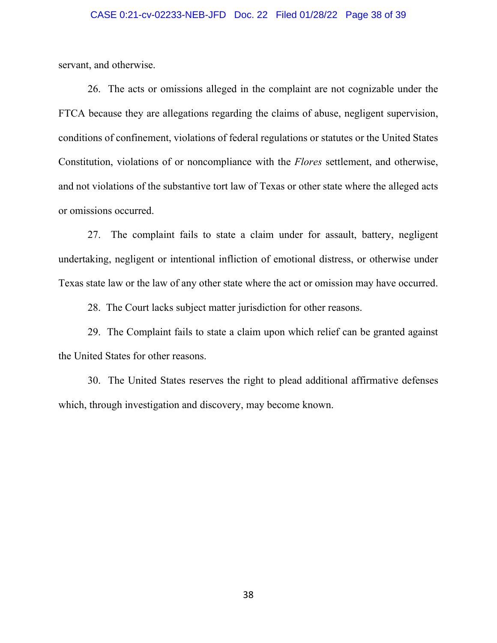#### CASE 0:21-cv-02233-NEB-JFD Doc. 22 Filed 01/28/22 Page 38 of 39

servant, and otherwise.

26. The acts or omissions alleged in the complaint are not cognizable under the FTCA because they are allegations regarding the claims of abuse, negligent supervision, conditions of confinement, violations of federal regulations or statutes or the United States Constitution, violations of or noncompliance with the *Flores* settlement, and otherwise, and not violations of the substantive tort law of Texas or other state where the alleged acts or omissions occurred.

27. The complaint fails to state a claim under for assault, battery, negligent undertaking, negligent or intentional infliction of emotional distress, or otherwise under Texas state law or the law of any other state where the act or omission may have occurred.

28. The Court lacks subject matter jurisdiction for other reasons.

29. The Complaint fails to state a claim upon which relief can be granted against the United States for other reasons.

30. The United States reserves the right to plead additional affirmative defenses which, through investigation and discovery, may become known.